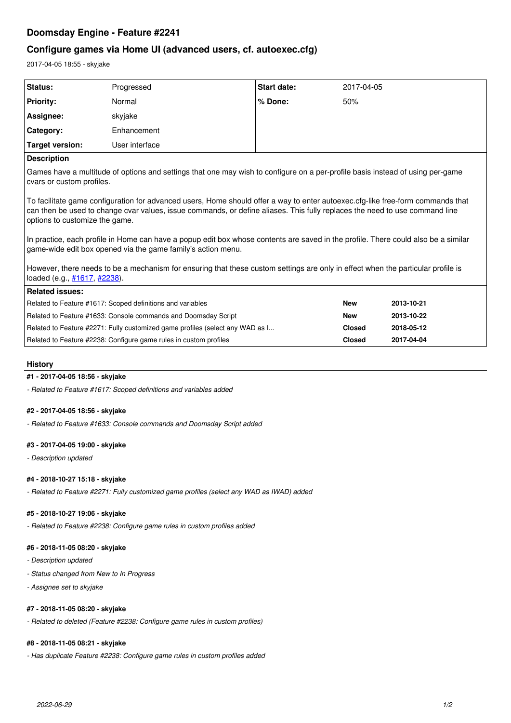# **Doomsday Engine - Feature #2241**

# **Configure games via Home UI (advanced users, cf. autoexec.cfg)**

2017-04-05 18:55 - skyjake

| <b>Status:</b>   | Progressed     | <b>Start date:</b> | 2017-04-05 |
|------------------|----------------|--------------------|------------|
| <b>Priority:</b> | Normal         | % Done:            | 50%        |
| Assignee:        | skyjake        |                    |            |
| Category:        | Enhancement    |                    |            |
| Target version:  | User interface |                    |            |
|                  |                |                    |            |

## **Description**

Games have a multitude of options and settings that one may wish to configure on a per-profile basis instead of using per-game cvars or custom profiles.

To facilitate game configuration for advanced users, Home should offer a way to enter autoexec.cfg-like free-form commands that can then be used to change cvar values, issue commands, or define aliases. This fully replaces the need to use command line options to customize the game.

In practice, each profile in Home can have a popup edit box whose contents are saved in the profile. There could also be a similar game-wide edit box opened via the game family's action menu.

However, there needs to be a mechanism for ensuring that these custom settings are only in effect when the particular profile is loaded (e.g.,  $\frac{\#1617}{\#2238}$ ).

| Related issues:                                                               |            |            |  |
|-------------------------------------------------------------------------------|------------|------------|--|
| Related to Feature #1617: Scoped definitions and variables                    | <b>New</b> | 2013-10-21 |  |
| Related to Feature #1633: Console commands and Doomsday Script                | <b>New</b> | 2013-10-22 |  |
| Related to Feature #2271: Fully customized game profiles (select any WAD as I | Closed     | 2018-05-12 |  |
| Related to Feature #2238: Configure game rules in custom profiles             | Closed     | 2017-04-04 |  |

## **History**

# **#1 - 2017-04-05 18:56 - skyjake**

*- Related to Feature #1617: Scoped definitions and variables added*

## **#2 - 2017-04-05 18:56 - skyjake**

*- Related to Feature #1633: Console commands and Doomsday Script added*

## **#3 - 2017-04-05 19:00 - skyjake**

*- Description updated*

## **#4 - 2018-10-27 15:18 - skyjake**

*- Related to Feature #2271: Fully customized game profiles (select any WAD as IWAD) added*

## **#5 - 2018-10-27 19:06 - skyjake**

*- Related to Feature #2238: Configure game rules in custom profiles added*

#### **#6 - 2018-11-05 08:20 - skyjake**

- *Description updated*
- *Status changed from New to In Progress*
- *Assignee set to skyjake*

## **#7 - 2018-11-05 08:20 - skyjake**

*- Related to deleted (Feature #2238: Configure game rules in custom profiles)*

# **#8 - 2018-11-05 08:21 - skyjake**

*- Has duplicate Feature #2238: Configure game rules in custom profiles added*